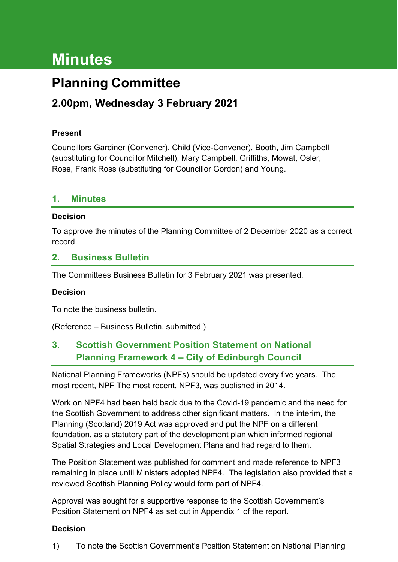# **Minutes**

## **Planning Committee**

## **2.00pm, Wednesday 3 February 2021**

#### **Present**

Councillors Gardiner (Convener), Child (Vice-Convener), Booth, Jim Campbell (substituting for Councillor Mitchell), Mary Campbell, Griffiths, Mowat, Osler, Rose, Frank Ross (substituting for Councillor Gordon) and Young.

#### **1. Minutes**

#### **Decision**

To approve the minutes of the Planning Committee of 2 December 2020 as a correct record.

#### **2. Business Bulletin**

The Committees Business Bulletin for 3 February 2021 was presented.

#### **Decision**

To note the business bulletin.

(Reference – Business Bulletin, submitted.)

## **3. Scottish Government Position Statement on National Planning Framework 4 – City of Edinburgh Council**

National Planning Frameworks (NPFs) should be updated every five years. The most recent, NPF The most recent, NPF3, was published in 2014.

Work on NPF4 had been held back due to the Covid-19 pandemic and the need for the Scottish Government to address other significant matters. In the interim, the Planning (Scotland) 2019 Act was approved and put the NPF on a different foundation, as a statutory part of the development plan which informed regional Spatial Strategies and Local Development Plans and had regard to them.

The Position Statement was published for comment and made reference to NPF3 remaining in place until Ministers adopted NPF4. The legislation also provided that a reviewed Scottish Planning Policy would form part of NPF4.

Approval was sought for a supportive response to the Scottish Government's Position Statement on NPF4 as set out in Appendix 1 of the report.

#### **Decision**

1) To note the Scottish Government's Position Statement on National Planning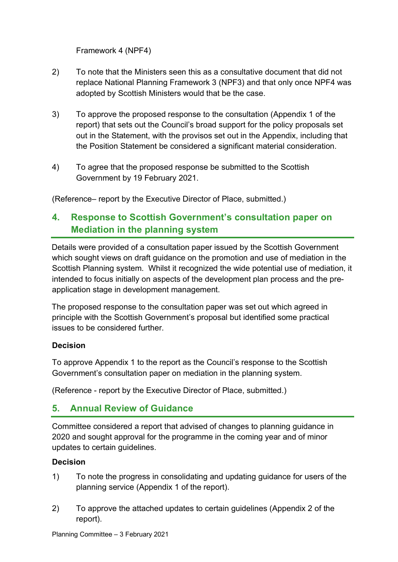Framework 4 (NPF4)

- 2) To note that the Ministers seen this as a consultative document that did not replace National Planning Framework 3 (NPF3) and that only once NPF4 was adopted by Scottish Ministers would that be the case.
- 3) To approve the proposed response to the consultation (Appendix 1 of the report) that sets out the Council's broad support for the policy proposals set out in the Statement, with the provisos set out in the Appendix, including that the Position Statement be considered a significant material consideration.
- 4) To agree that the proposed response be submitted to the Scottish Government by 19 February 2021.

(Reference– report by the Executive Director of Place, submitted.)

## **4. Response to Scottish Government's consultation paper on Mediation in the planning system**

Details were provided of a consultation paper issued by the Scottish Government which sought views on draft guidance on the promotion and use of mediation in the Scottish Planning system. Whilst it recognized the wide potential use of mediation, it intended to focus initially on aspects of the development plan process and the preapplication stage in development management.

The proposed response to the consultation paper was set out which agreed in principle with the Scottish Government's proposal but identified some practical issues to be considered further.

#### **Decision**

To approve Appendix 1 to the report as the Council's response to the Scottish Government's consultation paper on mediation in the planning system.

(Reference - report by the Executive Director of Place, submitted.)

## **5. Annual Review of Guidance**

Committee considered a report that advised of changes to planning guidance in 2020 and sought approval for the programme in the coming year and of minor updates to certain guidelines.

#### **Decision**

- 1) To note the progress in consolidating and updating guidance for users of the planning service (Appendix 1 of the report).
- 2) To approve the attached updates to certain guidelines (Appendix 2 of the report).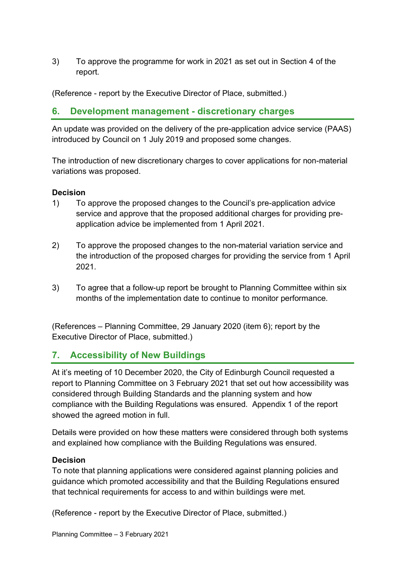3) To approve the programme for work in 2021 as set out in Section 4 of the report.

(Reference - report by the Executive Director of Place, submitted.)

### **6. Development management - discretionary charges**

An update was provided on the delivery of the pre-application advice service (PAAS) introduced by Council on 1 July 2019 and proposed some changes.

The introduction of new discretionary charges to cover applications for non-material variations was proposed.

#### **Decision**

- 1) To approve the proposed changes to the Council's pre-application advice service and approve that the proposed additional charges for providing preapplication advice be implemented from 1 April 2021.
- 2) To approve the proposed changes to the non-material variation service and the introduction of the proposed charges for providing the service from 1 April 2021.
- 3) To agree that a follow-up report be brought to Planning Committee within six months of the implementation date to continue to monitor performance.

(References – Planning Committee, 29 January 2020 (item 6); report by the Executive Director of Place, submitted.)

## **7. Accessibility of New Buildings**

At it's meeting of 10 December 2020, the City of Edinburgh Council requested a report to Planning Committee on 3 February 2021 that set out how accessibility was considered through Building Standards and the planning system and how compliance with the Building Regulations was ensured. Appendix 1 of the report showed the agreed motion in full.

Details were provided on how these matters were considered through both systems and explained how compliance with the Building Regulations was ensured.

#### **Decision**

To note that planning applications were considered against planning policies and guidance which promoted accessibility and that the Building Regulations ensured that technical requirements for access to and within buildings were met.

(Reference - report by the Executive Director of Place, submitted.)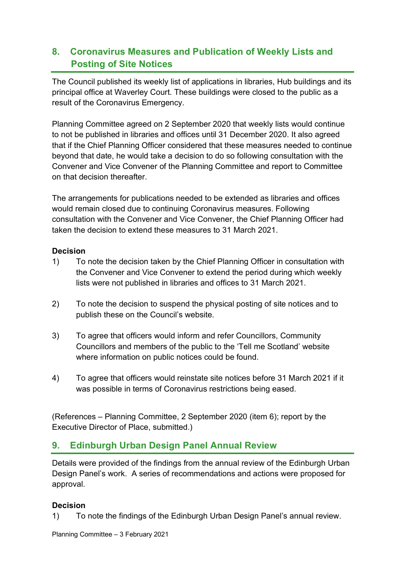## **8. Coronavirus Measures and Publication of Weekly Lists and Posting of Site Notices**

The Council published its weekly list of applications in libraries, Hub buildings and its principal office at Waverley Court. These buildings were closed to the public as a result of the Coronavirus Emergency.

Planning Committee agreed on 2 September 2020 that weekly lists would continue to not be published in libraries and offices until 31 December 2020. It also agreed that if the Chief Planning Officer considered that these measures needed to continue beyond that date, he would take a decision to do so following consultation with the Convener and Vice Convener of the Planning Committee and report to Committee on that decision thereafter.

The arrangements for publications needed to be extended as libraries and offices would remain closed due to continuing Coronavirus measures. Following consultation with the Convener and Vice Convener, the Chief Planning Officer had taken the decision to extend these measures to 31 March 2021.

#### **Decision**

- 1) To note the decision taken by the Chief Planning Officer in consultation with the Convener and Vice Convener to extend the period during which weekly lists were not published in libraries and offices to 31 March 2021.
- 2) To note the decision to suspend the physical posting of site notices and to publish these on the Council's website.
- 3) To agree that officers would inform and refer Councillors, Community Councillors and members of the public to the 'Tell me Scotland' website where information on public notices could be found.
- 4) To agree that officers would reinstate site notices before 31 March 2021 if it was possible in terms of Coronavirus restrictions being eased.

(References – Planning Committee, 2 September 2020 (item 6); report by the Executive Director of Place, submitted.)

## **9. Edinburgh Urban Design Panel Annual Review**

Details were provided of the findings from the annual review of the Edinburgh Urban Design Panel's work. A series of recommendations and actions were proposed for approval.

#### **Decision**

1) To note the findings of the Edinburgh Urban Design Panel's annual review.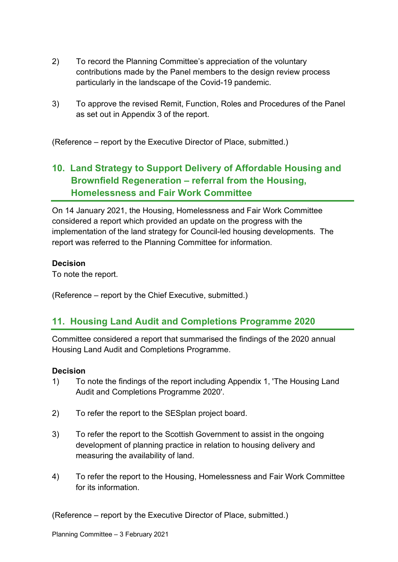- 2) To record the Planning Committee's appreciation of the voluntary contributions made by the Panel members to the design review process particularly in the landscape of the Covid-19 pandemic.
- 3) To approve the revised Remit, Function, Roles and Procedures of the Panel as set out in Appendix 3 of the report.

(Reference – report by the Executive Director of Place, submitted.)

## **10. Land Strategy to Support Delivery of Affordable Housing and Brownfield Regeneration – referral from the Housing, Homelessness and Fair Work Committee**

On 14 January 2021, the Housing, Homelessness and Fair Work Committee considered a report which provided an update on the progress with the implementation of the land strategy for Council-led housing developments. The report was referred to the Planning Committee for information.

#### **Decision**

To note the report.

(Reference – report by the Chief Executive, submitted.)

## **11. Housing Land Audit and Completions Programme 2020**

Committee considered a report that summarised the findings of the 2020 annual Housing Land Audit and Completions Programme.

#### **Decision**

- 1) To note the findings of the report including Appendix 1, 'The Housing Land Audit and Completions Programme 2020'.
- 2) To refer the report to the SESplan project board.
- 3) To refer the report to the Scottish Government to assist in the ongoing development of planning practice in relation to housing delivery and measuring the availability of land.
- 4) To refer the report to the Housing, Homelessness and Fair Work Committee for its information.

(Reference – report by the Executive Director of Place, submitted.)